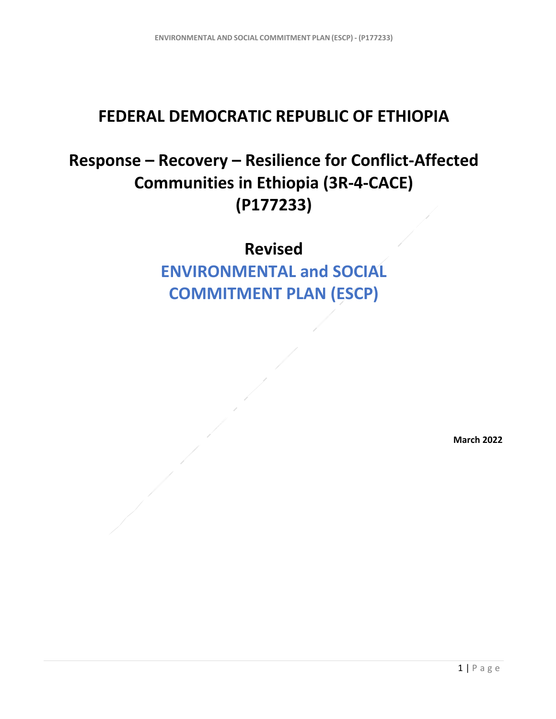## **FEDERAL DEMOCRATIC REPUBLIC OF ETHIOPIA**

## **Response – Recovery – Resilience for Conflict-Affected Communities in Ethiopia (3R-4-CACE) (P177233)**

**Revised**

**ENVIRONMENTAL and SOCIAL COMMITMENT PLAN (ESCP)** 

**March 2022**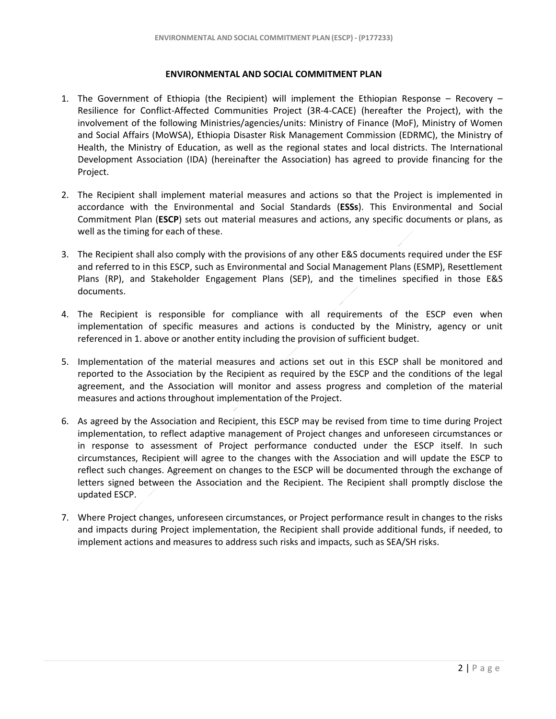## **ENVIRONMENTAL AND SOCIAL COMMITMENT PLAN**

- 1. The Government of Ethiopia (the Recipient) will implement the Ethiopian Response Recovery Resilience for Conflict-Affected Communities Project (3R-4-CACE) (hereafter the Project), with the involvement of the following Ministries/agencies/units: Ministry of Finance (MoF), Ministry of Women and Social Affairs (MoWSA), Ethiopia Disaster Risk Management Commission (EDRMC), the Ministry of Health, the Ministry of Education, as well as the regional states and local districts. The International Development Association (IDA) (hereinafter the Association) has agreed to provide financing for the Project.
- 2. The Recipient shall implement material measures and actions so that the Project is implemented in accordance with the Environmental and Social Standards (**ESSs**). This Environmental and Social Commitment Plan (**ESCP**) sets out material measures and actions, any specific documents or plans, as well as the timing for each of these.
- 3. The Recipient shall also comply with the provisions of any other E&S documents required under the ESF and referred to in this ESCP, such as Environmental and Social Management Plans (ESMP), Resettlement Plans (RP), and Stakeholder Engagement Plans (SEP), and the timelines specified in those E&S documents.
- 4. The Recipient is responsible for compliance with all requirements of the ESCP even when implementation of specific measures and actions is conducted by the Ministry, agency or unit referenced in 1. above or another entity including the provision of sufficient budget.
- 5. Implementation of the material measures and actions set out in this ESCP shall be monitored and reported to the Association by the Recipient as required by the ESCP and the conditions of the legal agreement, and the Association will monitor and assess progress and completion of the material measures and actions throughout implementation of the Project.
- 6. As agreed by the Association and Recipient, this ESCP may be revised from time to time during Project implementation, to reflect adaptive management of Project changes and unforeseen circumstances or in response to assessment of Project performance conducted under the ESCP itself. In such circumstances, Recipient will agree to the changes with the Association and will update the ESCP to reflect such changes. Agreement on changes to the ESCP will be documented through the exchange of letters signed between the Association and the Recipient. The Recipient shall promptly disclose the updated ESCP.
- 7. Where Project changes, unforeseen circumstances, or Project performance result in changes to the risks and impacts during Project implementation, the Recipient shall provide additional funds, if needed, to implement actions and measures to address such risks and impacts, such as SEA/SH risks.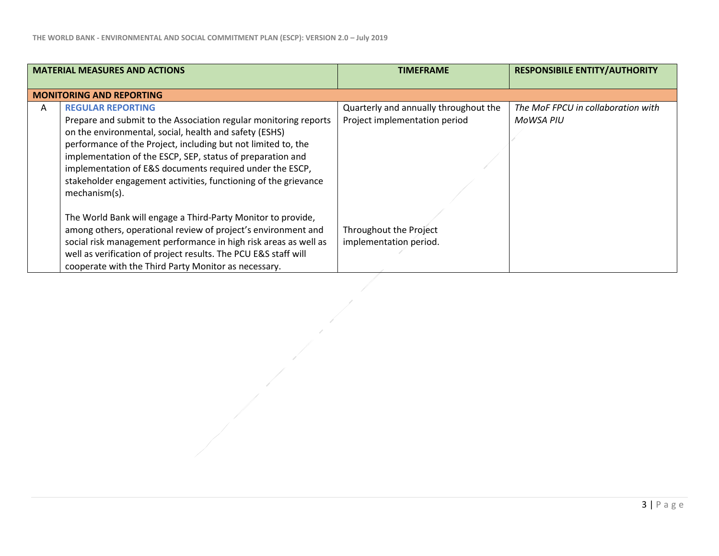|   | <b>MATERIAL MEASURES AND ACTIONS</b>                             | <b>TIMEFRAME</b>                      | <b>RESPONSIBILE ENTITY/AUTHORITY</b> |
|---|------------------------------------------------------------------|---------------------------------------|--------------------------------------|
|   |                                                                  |                                       |                                      |
|   | <b>MONITORING AND REPORTING</b>                                  |                                       |                                      |
| A | <b>REGULAR REPORTING</b>                                         | Quarterly and annually throughout the | The MoF FPCU in collaboration with   |
|   | Prepare and submit to the Association regular monitoring reports | Project implementation period         | MoWSA PIU                            |
|   | on the environmental, social, health and safety (ESHS)           |                                       |                                      |
|   | performance of the Project, including but not limited to, the    |                                       |                                      |
|   | implementation of the ESCP, SEP, status of preparation and       |                                       |                                      |
|   | implementation of E&S documents required under the ESCP,         |                                       |                                      |
|   | stakeholder engagement activities, functioning of the grievance  |                                       |                                      |
|   | mechanism(s).                                                    |                                       |                                      |
|   |                                                                  |                                       |                                      |
|   | The World Bank will engage a Third-Party Monitor to provide,     |                                       |                                      |
|   | among others, operational review of project's environment and    | Throughout the Project                |                                      |
|   | social risk management performance in high risk areas as well as | implementation period.                |                                      |
|   | well as verification of project results. The PCU E&S staff will  |                                       |                                      |
|   | cooperate with the Third Party Monitor as necessary.             |                                       |                                      |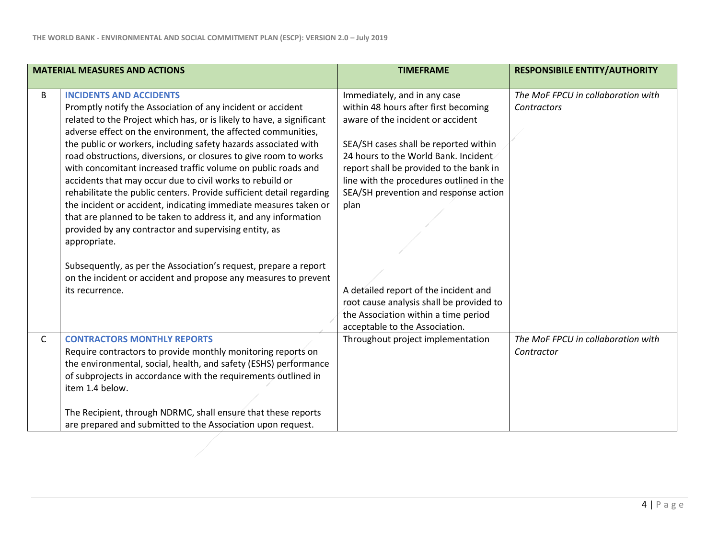|              | <b>MATERIAL MEASURES AND ACTIONS</b>                                                                                                                                                                                                                                                                                                                                                                                                                                                                                                                                                                                                                                                                                                                                                                | <b>TIMEFRAME</b>                                                                                                                                                                                                                                                                                                                   | <b>RESPONSIBILE ENTITY/AUTHORITY</b>              |
|--------------|-----------------------------------------------------------------------------------------------------------------------------------------------------------------------------------------------------------------------------------------------------------------------------------------------------------------------------------------------------------------------------------------------------------------------------------------------------------------------------------------------------------------------------------------------------------------------------------------------------------------------------------------------------------------------------------------------------------------------------------------------------------------------------------------------------|------------------------------------------------------------------------------------------------------------------------------------------------------------------------------------------------------------------------------------------------------------------------------------------------------------------------------------|---------------------------------------------------|
| B            | <b>INCIDENTS AND ACCIDENTS</b><br>Promptly notify the Association of any incident or accident<br>related to the Project which has, or is likely to have, a significant<br>adverse effect on the environment, the affected communities,<br>the public or workers, including safety hazards associated with<br>road obstructions, diversions, or closures to give room to works<br>with concomitant increased traffic volume on public roads and<br>accidents that may occur due to civil works to rebuild or<br>rehabilitate the public centers. Provide sufficient detail regarding<br>the incident or accident, indicating immediate measures taken or<br>that are planned to be taken to address it, and any information<br>provided by any contractor and supervising entity, as<br>appropriate. | Immediately, and in any case<br>within 48 hours after first becoming<br>aware of the incident or accident<br>SEA/SH cases shall be reported within<br>24 hours to the World Bank. Incident<br>report shall be provided to the bank in<br>line with the procedures outlined in the<br>SEA/SH prevention and response action<br>plan | The MoF FPCU in collaboration with<br>Contractors |
|              | Subsequently, as per the Association's request, prepare a report<br>on the incident or accident and propose any measures to prevent<br>its recurrence.                                                                                                                                                                                                                                                                                                                                                                                                                                                                                                                                                                                                                                              | A detailed report of the incident and<br>root cause analysis shall be provided to<br>the Association within a time period<br>acceptable to the Association.                                                                                                                                                                        |                                                   |
| $\mathsf{C}$ | <b>CONTRACTORS MONTHLY REPORTS</b><br>Require contractors to provide monthly monitoring reports on<br>the environmental, social, health, and safety (ESHS) performance<br>of subprojects in accordance with the requirements outlined in<br>item 1.4 below.<br>The Recipient, through NDRMC, shall ensure that these reports<br>are prepared and submitted to the Association upon request.                                                                                                                                                                                                                                                                                                                                                                                                         | Throughout project implementation                                                                                                                                                                                                                                                                                                  | The MoF FPCU in collaboration with<br>Contractor  |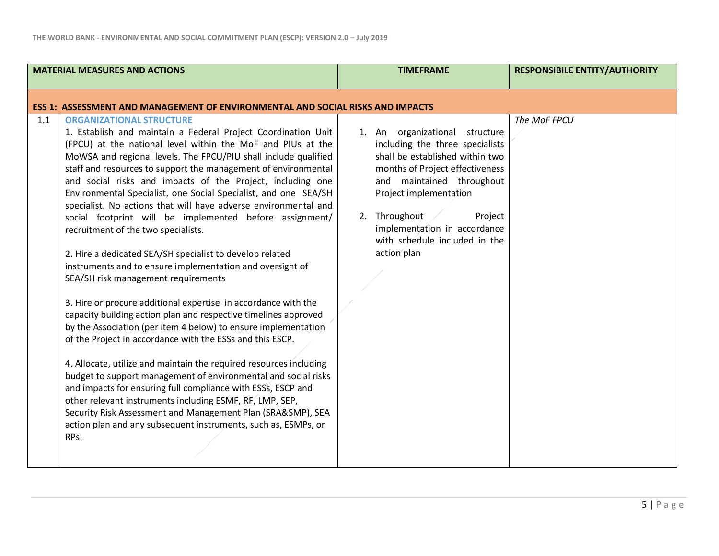| <b>MATERIAL MEASURES AND ACTIONS</b>                                                                                                                                                                                                                                                                                                                                                                                                                                                                                                                                                                                                                                                                                                                                                                                                                                                                                                                                                                                                                                                                                                                                                                                                                                                                                                                                                                                                                               | <b>TIMEFRAME</b>                                                                                                                                                                                                                                                                                           | <b>RESPONSIBILE ENTITY/AUTHORITY</b> |
|--------------------------------------------------------------------------------------------------------------------------------------------------------------------------------------------------------------------------------------------------------------------------------------------------------------------------------------------------------------------------------------------------------------------------------------------------------------------------------------------------------------------------------------------------------------------------------------------------------------------------------------------------------------------------------------------------------------------------------------------------------------------------------------------------------------------------------------------------------------------------------------------------------------------------------------------------------------------------------------------------------------------------------------------------------------------------------------------------------------------------------------------------------------------------------------------------------------------------------------------------------------------------------------------------------------------------------------------------------------------------------------------------------------------------------------------------------------------|------------------------------------------------------------------------------------------------------------------------------------------------------------------------------------------------------------------------------------------------------------------------------------------------------------|--------------------------------------|
| <b>ESS 1: ASSESSMENT AND MANAGEMENT OF ENVIRONMENTAL AND SOCIAL RISKS AND IMPACTS</b>                                                                                                                                                                                                                                                                                                                                                                                                                                                                                                                                                                                                                                                                                                                                                                                                                                                                                                                                                                                                                                                                                                                                                                                                                                                                                                                                                                              |                                                                                                                                                                                                                                                                                                            |                                      |
| 1.1<br><b>ORGANIZATIONAL STRUCTURE</b><br>1. Establish and maintain a Federal Project Coordination Unit<br>(FPCU) at the national level within the MoF and PIUs at the<br>MoWSA and regional levels. The FPCU/PIU shall include qualified<br>staff and resources to support the management of environmental<br>and social risks and impacts of the Project, including one<br>Environmental Specialist, one Social Specialist, and one SEA/SH<br>specialist. No actions that will have adverse environmental and<br>social footprint will be implemented before assignment/<br>recruitment of the two specialists.<br>2. Hire a dedicated SEA/SH specialist to develop related<br>instruments and to ensure implementation and oversight of<br>SEA/SH risk management requirements<br>3. Hire or procure additional expertise in accordance with the<br>capacity building action plan and respective timelines approved<br>by the Association (per item 4 below) to ensure implementation<br>of the Project in accordance with the ESSs and this ESCP.<br>4. Allocate, utilize and maintain the required resources including<br>budget to support management of environmental and social risks<br>and impacts for ensuring full compliance with ESSS, ESCP and<br>other relevant instruments including ESMF, RF, LMP, SEP,<br>Security Risk Assessment and Management Plan (SRA&SMP), SEA<br>action plan and any subsequent instruments, such as, ESMPs, or<br>RPs. | 1. An organizational structure<br>including the three specialists<br>shall be established within two<br>months of Project effectiveness<br>and maintained throughout<br>Project implementation<br>2. Throughout<br>Project<br>implementation in accordance<br>with schedule included in the<br>action plan | The MoF FPCU                         |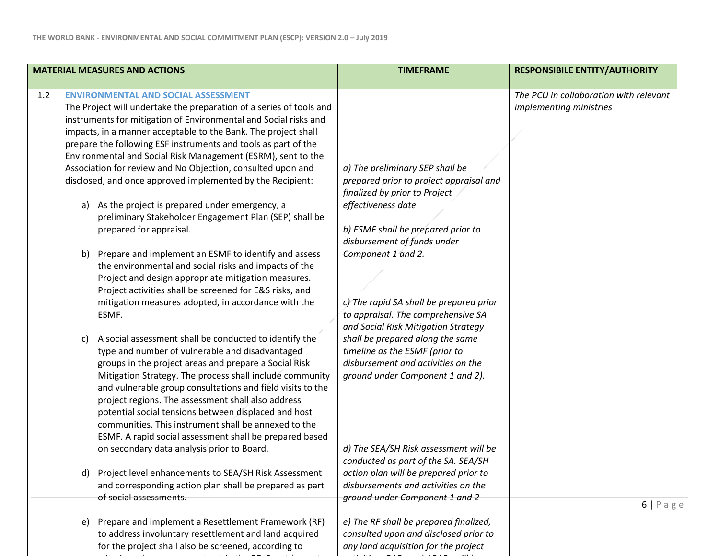criteria and procedures set out in the RF. Resettlement

| <b>MATERIAL MEASURES AND ACTIONS</b> |                                                                                                                                                                                                                                                                                                                                                                                                                                                                                                                                                                                                                                                                                                                                                                                                                                                                                                                                                                                                                                             | <b>TIMEFRAME</b>                                                                                                                                                                                                                                                                                                                                                                         | <b>RESPONSIBILE ENTITY/AUTHORITY</b>                              |  |
|--------------------------------------|---------------------------------------------------------------------------------------------------------------------------------------------------------------------------------------------------------------------------------------------------------------------------------------------------------------------------------------------------------------------------------------------------------------------------------------------------------------------------------------------------------------------------------------------------------------------------------------------------------------------------------------------------------------------------------------------------------------------------------------------------------------------------------------------------------------------------------------------------------------------------------------------------------------------------------------------------------------------------------------------------------------------------------------------|------------------------------------------------------------------------------------------------------------------------------------------------------------------------------------------------------------------------------------------------------------------------------------------------------------------------------------------------------------------------------------------|-------------------------------------------------------------------|--|
| 1.2                                  | <b>ENVIRONMENTAL AND SOCIAL ASSESSMENT</b><br>The Project will undertake the preparation of a series of tools and<br>instruments for mitigation of Environmental and Social risks and<br>impacts, in a manner acceptable to the Bank. The project shall<br>prepare the following ESF instruments and tools as part of the<br>Environmental and Social Risk Management (ESRM), sent to the<br>Association for review and No Objection, consulted upon and<br>disclosed, and once approved implemented by the Recipient:<br>As the project is prepared under emergency, a<br>a)<br>preliminary Stakeholder Engagement Plan (SEP) shall be<br>prepared for appraisal.<br>Prepare and implement an ESMF to identify and assess<br>b)<br>the environmental and social risks and impacts of the<br>Project and design appropriate mitigation measures.<br>Project activities shall be screened for E&S risks, and<br>mitigation measures adopted, in accordance with the<br>ESMF.<br>A social assessment shall be conducted to identify the<br>c) | a) The preliminary SEP shall be<br>prepared prior to project appraisal and<br>finalized by prior to Project<br>effectiveness date<br>b) ESMF shall be prepared prior to<br>disbursement of funds under<br>Component 1 and 2.<br>c) The rapid SA shall be prepared prior<br>to appraisal. The comprehensive SA<br>and Social Risk Mitigation Strategy<br>shall be prepared along the same | The PCU in collaboration with relevant<br>implementing ministries |  |
|                                      | type and number of vulnerable and disadvantaged<br>groups in the project areas and prepare a Social Risk<br>Mitigation Strategy. The process shall include community<br>and vulnerable group consultations and field visits to the<br>project regions. The assessment shall also address<br>potential social tensions between displaced and host<br>communities. This instrument shall be annexed to the<br>ESMF. A rapid social assessment shall be prepared based<br>on secondary data analysis prior to Board.                                                                                                                                                                                                                                                                                                                                                                                                                                                                                                                           | timeline as the ESMF (prior to<br>disbursement and activities on the<br>ground under Component 1 and 2).<br>d) The SEA/SH Risk assessment will be                                                                                                                                                                                                                                        |                                                                   |  |
|                                      | Project level enhancements to SEA/SH Risk Assessment<br>d)<br>and corresponding action plan shall be prepared as part<br>of social assessments.                                                                                                                                                                                                                                                                                                                                                                                                                                                                                                                                                                                                                                                                                                                                                                                                                                                                                             | conducted as part of the SA. SEA/SH<br>action plan will be prepared prior to<br>disbursements and activities on the<br>ground under Component 1 and 2                                                                                                                                                                                                                                    |                                                                   |  |
|                                      | Prepare and implement a Resettlement Framework (RF)<br>e)                                                                                                                                                                                                                                                                                                                                                                                                                                                                                                                                                                                                                                                                                                                                                                                                                                                                                                                                                                                   | e) The RF shall be prepared finalized,                                                                                                                                                                                                                                                                                                                                                   | 6 Pa                                                              |  |
|                                      | to address involuntary resettlement and land acquired<br>for the project shall also be screened, according to                                                                                                                                                                                                                                                                                                                                                                                                                                                                                                                                                                                                                                                                                                                                                                                                                                                                                                                               | consulted upon and disclosed prior to<br>any land acquisition for the project                                                                                                                                                                                                                                                                                                            |                                                                   |  |

*activities..* RAPs and ARAPs will be

 $e$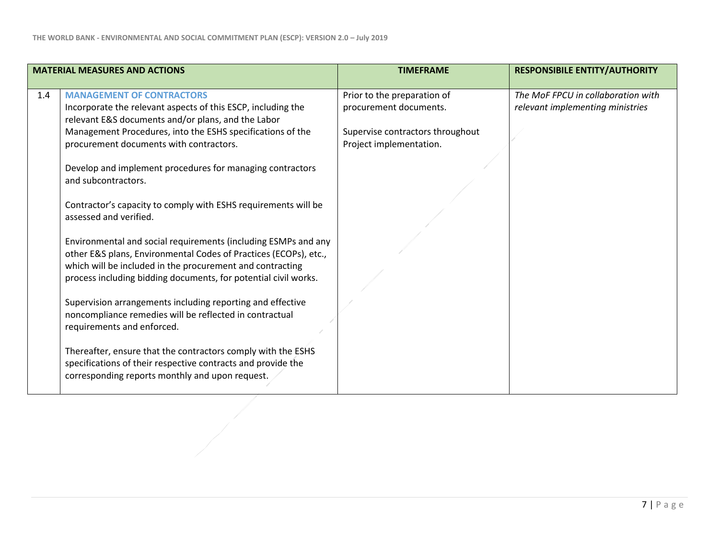|     | <b>MATERIAL MEASURES AND ACTIONS</b>                                                                                                                                                            | <b>TIMEFRAME</b>                                            | <b>RESPONSIBILE ENTITY/AUTHORITY</b>                                   |
|-----|-------------------------------------------------------------------------------------------------------------------------------------------------------------------------------------------------|-------------------------------------------------------------|------------------------------------------------------------------------|
| 1.4 | <b>MANAGEMENT OF CONTRACTORS</b><br>Incorporate the relevant aspects of this ESCP, including the<br>relevant E&S documents and/or plans, and the Labor                                          | Prior to the preparation of<br>procurement documents.       | The MoF FPCU in collaboration with<br>relevant implementing ministries |
|     | Management Procedures, into the ESHS specifications of the<br>procurement documents with contractors.                                                                                           | Supervise contractors throughout<br>Project implementation. |                                                                        |
|     | Develop and implement procedures for managing contractors<br>and subcontractors.                                                                                                                |                                                             |                                                                        |
|     | Contractor's capacity to comply with ESHS requirements will be<br>assessed and verified.                                                                                                        |                                                             |                                                                        |
|     | Environmental and social requirements (including ESMPs and any<br>other E&S plans, Environmental Codes of Practices (ECOPs), etc.,<br>which will be included in the procurement and contracting |                                                             |                                                                        |
|     | process including bidding documents, for potential civil works.                                                                                                                                 |                                                             |                                                                        |
|     | Supervision arrangements including reporting and effective<br>noncompliance remedies will be reflected in contractual<br>requirements and enforced.                                             |                                                             |                                                                        |
|     | Thereafter, ensure that the contractors comply with the ESHS<br>specifications of their respective contracts and provide the<br>corresponding reports monthly and upon request.                 |                                                             |                                                                        |
|     |                                                                                                                                                                                                 |                                                             |                                                                        |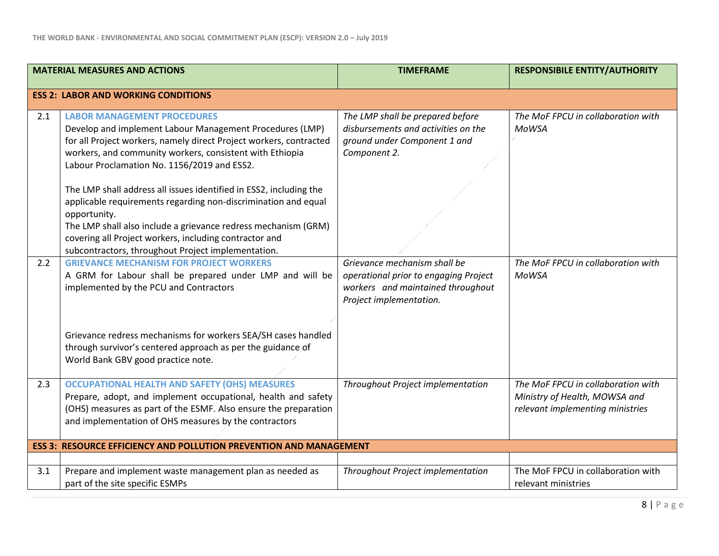|     | <b>MATERIAL MEASURES AND ACTIONS</b>                                                                                                                                                                                                                                                                                                                                                                                                                                                                                                                                                                                      | <b>TIMEFRAME</b>                                                                                                                      | <b>RESPONSIBILE ENTITY/AUTHORITY</b>                                                                    |
|-----|---------------------------------------------------------------------------------------------------------------------------------------------------------------------------------------------------------------------------------------------------------------------------------------------------------------------------------------------------------------------------------------------------------------------------------------------------------------------------------------------------------------------------------------------------------------------------------------------------------------------------|---------------------------------------------------------------------------------------------------------------------------------------|---------------------------------------------------------------------------------------------------------|
|     | <b>ESS 2: LABOR AND WORKING CONDITIONS</b>                                                                                                                                                                                                                                                                                                                                                                                                                                                                                                                                                                                |                                                                                                                                       |                                                                                                         |
| 2.1 | <b>LABOR MANAGEMENT PROCEDURES</b><br>Develop and implement Labour Management Procedures (LMP)<br>for all Project workers, namely direct Project workers, contracted<br>workers, and community workers, consistent with Ethiopia<br>Labour Proclamation No. 1156/2019 and ESS2.<br>The LMP shall address all issues identified in ESS2, including the<br>applicable requirements regarding non-discrimination and equal<br>opportunity.<br>The LMP shall also include a grievance redress mechanism (GRM)<br>covering all Project workers, including contractor and<br>subcontractors, throughout Project implementation. | The LMP shall be prepared before<br>disbursements and activities on the<br>ground under Component 1 and<br>Component 2.               | The MoF FPCU in collaboration with<br><b>MoWSA</b>                                                      |
| 2.2 | <b>GRIEVANCE MECHANISM FOR PROJECT WORKERS</b><br>A GRM for Labour shall be prepared under LMP and will be<br>implemented by the PCU and Contractors<br>Grievance redress mechanisms for workers SEA/SH cases handled<br>through survivor's centered approach as per the guidance of<br>World Bank GBV good practice note.                                                                                                                                                                                                                                                                                                | Grievance mechanism shall be<br>operational prior to engaging Project<br>workers and maintained throughout<br>Project implementation. | The MoF FPCU in collaboration with<br><b>MoWSA</b>                                                      |
| 2.3 | <b>OCCUPATIONAL HEALTH AND SAFETY (OHS) MEASURES</b><br>Prepare, adopt, and implement occupational, health and safety<br>(OHS) measures as part of the ESMF. Also ensure the preparation<br>and implementation of OHS measures by the contractors                                                                                                                                                                                                                                                                                                                                                                         | Throughout Project implementation                                                                                                     | The MoF FPCU in collaboration with<br>Ministry of Health, MOWSA and<br>relevant implementing ministries |
|     | <b>ESS 3: RESOURCE EFFICIENCY AND POLLUTION PREVENTION AND MANAGEMENT</b>                                                                                                                                                                                                                                                                                                                                                                                                                                                                                                                                                 |                                                                                                                                       |                                                                                                         |
| 3.1 | Prepare and implement waste management plan as needed as<br>part of the site specific ESMPs                                                                                                                                                                                                                                                                                                                                                                                                                                                                                                                               | Throughout Project implementation                                                                                                     | The MoF FPCU in collaboration with<br>relevant ministries                                               |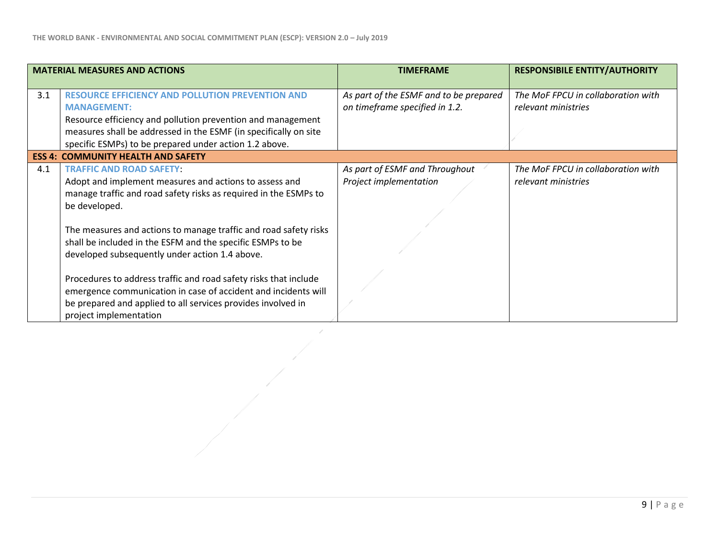| <b>MATERIAL MEASURES AND ACTIONS</b> |                                                                                                                                                                                                                                                                                                                                                                    | <b>TIMEFRAME</b>                                                         | <b>RESPONSIBILE ENTITY/AUTHORITY</b>                      |
|--------------------------------------|--------------------------------------------------------------------------------------------------------------------------------------------------------------------------------------------------------------------------------------------------------------------------------------------------------------------------------------------------------------------|--------------------------------------------------------------------------|-----------------------------------------------------------|
| 3.1                                  | <b>RESOURCE EFFICIENCY AND POLLUTION PREVENTION AND</b><br><b>MANAGEMENT:</b><br>Resource efficiency and pollution prevention and management<br>measures shall be addressed in the ESMF (in specifically on site<br>specific ESMPs) to be prepared under action 1.2 above.                                                                                         | As part of the ESMF and to be prepared<br>on timeframe specified in 1.2. | The MoF FPCU in collaboration with<br>relevant ministries |
|                                      | <b>ESS 4: COMMUNITY HEALTH AND SAFETY</b>                                                                                                                                                                                                                                                                                                                          |                                                                          |                                                           |
| 4.1                                  | <b>TRAFFIC AND ROAD SAFETY:</b><br>Adopt and implement measures and actions to assess and<br>manage traffic and road safety risks as required in the ESMPs to<br>be developed.<br>The measures and actions to manage traffic and road safety risks<br>shall be included in the ESFM and the specific ESMPs to be<br>developed subsequently under action 1.4 above. | As part of ESMF and Throughout<br>Project implementation                 | The MoF FPCU in collaboration with<br>relevant ministries |
|                                      | Procedures to address traffic and road safety risks that include<br>emergence communication in case of accident and incidents will<br>be prepared and applied to all services provides involved in<br>project implementation                                                                                                                                       |                                                                          |                                                           |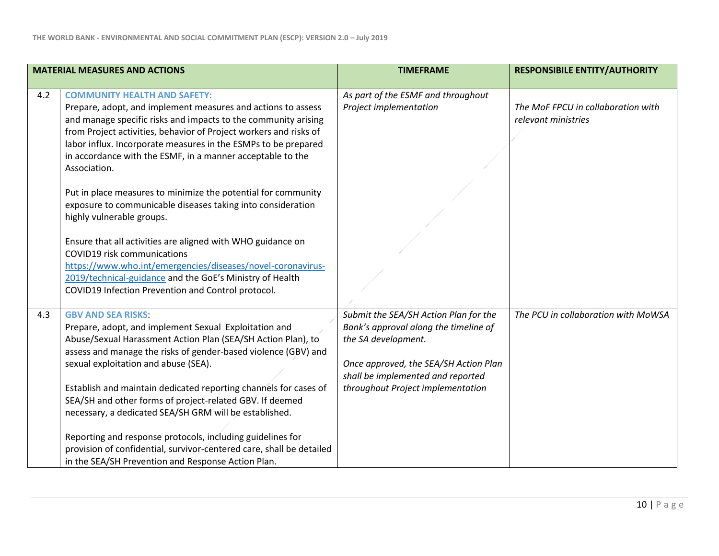| <b>MATERIAL MEASURES AND ACTIONS</b> |                                                                                                                              | <b>TIMEFRAME</b>                      | <b>RESPONSIBILE ENTITY/AUTHORITY</b> |
|--------------------------------------|------------------------------------------------------------------------------------------------------------------------------|---------------------------------------|--------------------------------------|
|                                      |                                                                                                                              |                                       |                                      |
| 4.2                                  | <b>COMMUNITY HEALTH AND SAFETY:</b>                                                                                          | As part of the ESMF and throughout    |                                      |
|                                      | Prepare, adopt, and implement measures and actions to assess                                                                 | Project implementation                | The MoF FPCU in collaboration with   |
|                                      | and manage specific risks and impacts to the community arising                                                               |                                       | relevant ministries                  |
|                                      | from Project activities, behavior of Project workers and risks of                                                            |                                       |                                      |
|                                      | labor influx. Incorporate measures in the ESMPs to be prepared                                                               |                                       |                                      |
|                                      | in accordance with the ESMF, in a manner acceptable to the                                                                   |                                       |                                      |
|                                      | Association.                                                                                                                 |                                       |                                      |
|                                      |                                                                                                                              |                                       |                                      |
|                                      | Put in place measures to minimize the potential for community<br>exposure to communicable diseases taking into consideration |                                       |                                      |
|                                      | highly vulnerable groups.                                                                                                    |                                       |                                      |
|                                      |                                                                                                                              |                                       |                                      |
|                                      | Ensure that all activities are aligned with WHO guidance on                                                                  |                                       |                                      |
|                                      | COVID19 risk communications                                                                                                  |                                       |                                      |
|                                      | https://www.who.int/emergencies/diseases/novel-coronavirus-                                                                  |                                       |                                      |
|                                      | 2019/technical-guidance and the GoE's Ministry of Health                                                                     |                                       |                                      |
|                                      | COVID19 Infection Prevention and Control protocol.                                                                           |                                       |                                      |
|                                      |                                                                                                                              |                                       |                                      |
| 4.3                                  | <b>GBV AND SEA RISKS:</b>                                                                                                    | Submit the SEA/SH Action Plan for the | The PCU in collaboration with MoWSA  |
|                                      | Prepare, adopt, and implement Sexual Exploitation and                                                                        | Bank's approval along the timeline of |                                      |
|                                      | Abuse/Sexual Harassment Action Plan (SEA/SH Action Plan), to                                                                 | the SA development.                   |                                      |
|                                      | assess and manage the risks of gender-based violence (GBV) and                                                               |                                       |                                      |
|                                      | sexual exploitation and abuse (SEA).                                                                                         | Once approved, the SEA/SH Action Plan |                                      |
|                                      |                                                                                                                              | shall be implemented and reported     |                                      |
|                                      | Establish and maintain dedicated reporting channels for cases of                                                             | throughout Project implementation     |                                      |
|                                      | SEA/SH and other forms of project-related GBV. If deemed                                                                     |                                       |                                      |
|                                      | necessary, a dedicated SEA/SH GRM will be established.                                                                       |                                       |                                      |
|                                      | Reporting and response protocols, including guidelines for                                                                   |                                       |                                      |
|                                      | provision of confidential, survivor-centered care, shall be detailed                                                         |                                       |                                      |
|                                      | in the SEA/SH Prevention and Response Action Plan.                                                                           |                                       |                                      |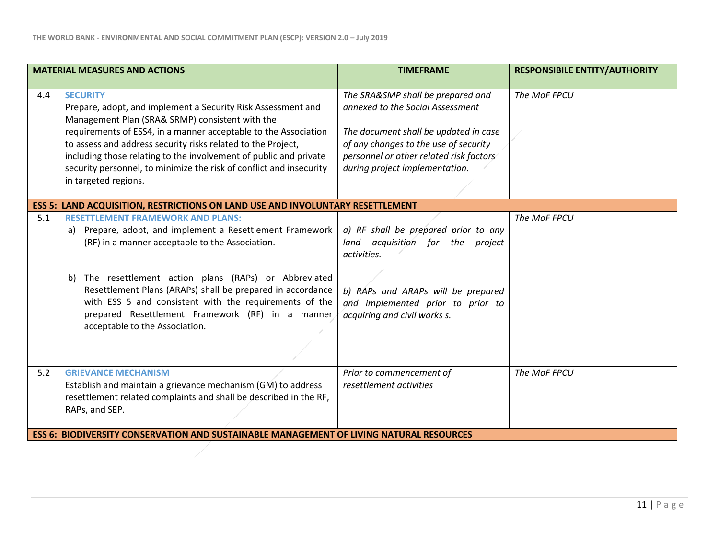|     | <b>MATERIAL MEASURES AND ACTIONS</b>                                                                                                                                                                                                                                                                                                                                                                                                      | <b>TIMEFRAME</b>                                                                                                                                                                                                                     | <b>RESPONSIBILE ENTITY/AUTHORITY</b> |
|-----|-------------------------------------------------------------------------------------------------------------------------------------------------------------------------------------------------------------------------------------------------------------------------------------------------------------------------------------------------------------------------------------------------------------------------------------------|--------------------------------------------------------------------------------------------------------------------------------------------------------------------------------------------------------------------------------------|--------------------------------------|
| 4.4 | <b>SECURITY</b><br>Prepare, adopt, and implement a Security Risk Assessment and<br>Management Plan (SRA& SRMP) consistent with the<br>requirements of ESS4, in a manner acceptable to the Association<br>to assess and address security risks related to the Project,<br>including those relating to the involvement of public and private<br>security personnel, to minimize the risk of conflict and insecurity<br>in targeted regions. | The SRA&SMP shall be prepared and<br>annexed to the Social Assessment<br>The document shall be updated in case<br>of any changes to the use of security<br>personnel or other related risk factors<br>during project implementation. | The MoF FPCU                         |
|     | <b>ESS 5: LAND ACQUISITION, RESTRICTIONS ON LAND USE AND INVOLUNTARY RESETTLEMENT</b>                                                                                                                                                                                                                                                                                                                                                     |                                                                                                                                                                                                                                      |                                      |
| 5.1 | <b>RESETTLEMENT FRAMEWORK AND PLANS:</b><br>Prepare, adopt, and implement a Resettlement Framework<br>a)<br>(RF) in a manner acceptable to the Association.<br>The resettlement action plans (RAPs) or Abbreviated<br>b)<br>Resettlement Plans (ARAPs) shall be prepared in accordance<br>with ESS 5 and consistent with the requirements of the<br>prepared Resettlement Framework (RF) in a manner<br>acceptable to the Association.    | a) RF shall be prepared prior to any<br>land acquisition for the project<br>activities.<br>b) RAPs and ARAPs will be prepared<br>and implemented prior to prior to<br>acquiring and civil works s.                                   | The MoF FPCU                         |
| 5.2 | <b>GRIEVANCE MECHANISM</b><br>Establish and maintain a grievance mechanism (GM) to address<br>resettlement related complaints and shall be described in the RF,<br>RAPs, and SEP.                                                                                                                                                                                                                                                         | Prior to commencement of<br>resettlement activities                                                                                                                                                                                  | The MoF FPCU                         |
|     | <b>ESS 6: BIODIVERSITY CONSERVATION AND SUSTAINABLE MANAGEMENT OF LIVING NATURAL RESOURCES</b>                                                                                                                                                                                                                                                                                                                                            |                                                                                                                                                                                                                                      |                                      |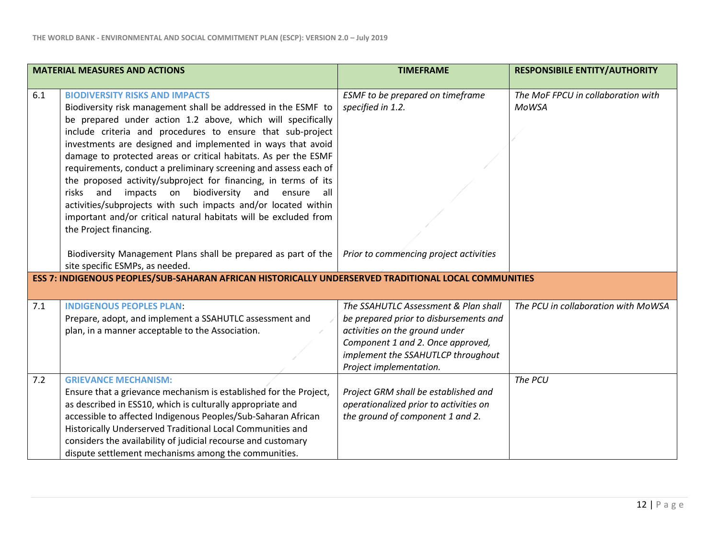|     | <b>MATERIAL MEASURES AND ACTIONS</b>                                                                                                   | <b>TIMEFRAME</b>                       | <b>RESPONSIBILE ENTITY/AUTHORITY</b> |
|-----|----------------------------------------------------------------------------------------------------------------------------------------|----------------------------------------|--------------------------------------|
|     |                                                                                                                                        |                                        |                                      |
| 6.1 | <b>BIODIVERSITY RISKS AND IMPACTS</b>                                                                                                  | ESMF to be prepared on timeframe       | The MoF FPCU in collaboration with   |
|     | Biodiversity risk management shall be addressed in the ESMF to                                                                         | specified in 1.2.                      | MoWSA                                |
|     | be prepared under action 1.2 above, which will specifically                                                                            |                                        |                                      |
|     | include criteria and procedures to ensure that sub-project                                                                             |                                        |                                      |
|     | investments are designed and implemented in ways that avoid                                                                            |                                        |                                      |
|     | damage to protected areas or critical habitats. As per the ESMF                                                                        |                                        |                                      |
|     | requirements, conduct a preliminary screening and assess each of                                                                       |                                        |                                      |
|     | the proposed activity/subproject for financing, in terms of its                                                                        |                                        |                                      |
|     | biodiversity<br>risks<br>and<br>impacts on<br>and<br>ensure<br>all a<br>activities/subprojects with such impacts and/or located within |                                        |                                      |
|     | important and/or critical natural habitats will be excluded from                                                                       |                                        |                                      |
|     | the Project financing.                                                                                                                 |                                        |                                      |
|     |                                                                                                                                        |                                        |                                      |
|     | Biodiversity Management Plans shall be prepared as part of the $\mid$ Prior to commencing project activities                           |                                        |                                      |
|     | site specific ESMPs, as needed.                                                                                                        |                                        |                                      |
|     | ESS 7: INDIGENOUS PEOPLES/SUB-SAHARAN AFRICAN HISTORICALLY UNDERSERVED TRADITIONAL LOCAL COMMUNITIES                                   |                                        |                                      |
|     |                                                                                                                                        |                                        |                                      |
| 7.1 | <b>INDIGENOUS PEOPLES PLAN:</b>                                                                                                        | The SSAHUTLC Assessment & Plan shall   | The PCU in collaboration with MoWSA  |
|     | Prepare, adopt, and implement a SSAHUTLC assessment and                                                                                | be prepared prior to disbursements and |                                      |
|     | plan, in a manner acceptable to the Association.                                                                                       | activities on the ground under         |                                      |
|     |                                                                                                                                        | Component 1 and 2. Once approved,      |                                      |
|     |                                                                                                                                        | implement the SSAHUTLCP throughout     |                                      |
|     |                                                                                                                                        | Project implementation.                |                                      |
| 7.2 | <b>GRIEVANCE MECHANISM:</b>                                                                                                            |                                        | The PCU                              |
|     | Ensure that a grievance mechanism is established for the Project,                                                                      | Project GRM shall be established and   |                                      |
|     | as described in ESS10, which is culturally appropriate and                                                                             | operationalized prior to activities on |                                      |
|     | accessible to affected Indigenous Peoples/Sub-Saharan African                                                                          | the ground of component 1 and 2.       |                                      |
|     | Historically Underserved Traditional Local Communities and                                                                             |                                        |                                      |
|     | considers the availability of judicial recourse and customary                                                                          |                                        |                                      |
|     | dispute settlement mechanisms among the communities.                                                                                   |                                        |                                      |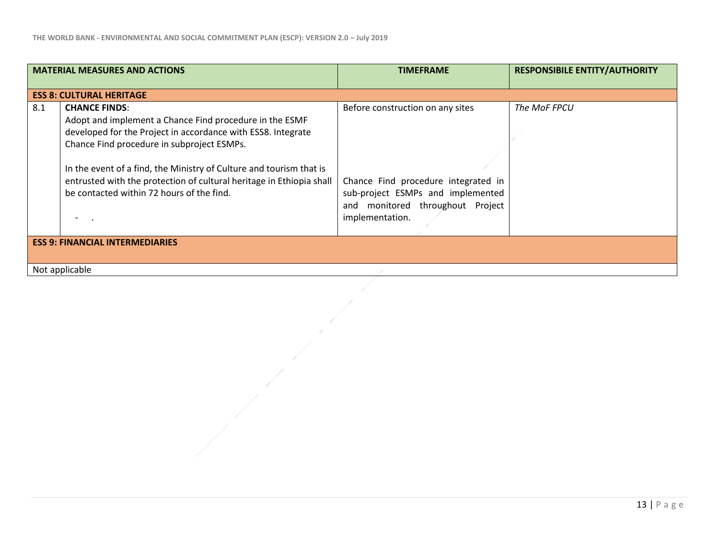| <b>MATERIAL MEASURES AND ACTIONS</b> |                                                                                                                                                                                                                                                                                                                                                                                           | <b>TIMEFRAME</b>                                                                                                                                                    | <b>RESPONSIBILE ENTITY/AUTHORITY</b> |  |
|--------------------------------------|-------------------------------------------------------------------------------------------------------------------------------------------------------------------------------------------------------------------------------------------------------------------------------------------------------------------------------------------------------------------------------------------|---------------------------------------------------------------------------------------------------------------------------------------------------------------------|--------------------------------------|--|
|                                      | <b>ESS 8: CULTURAL HERITAGE</b>                                                                                                                                                                                                                                                                                                                                                           |                                                                                                                                                                     |                                      |  |
| 8.1                                  | <b>CHANCE FINDS:</b><br>Adopt and implement a Chance Find procedure in the ESMF<br>developed for the Project in accordance with ESS8. Integrate<br>Chance Find procedure in subproject ESMPs.<br>In the event of a find, the Ministry of Culture and tourism that is<br>entrusted with the protection of cultural heritage in Ethiopia shall<br>be contacted within 72 hours of the find. | Before construction on any sites<br>Chance Find procedure integrated in<br>sub-project ESMPs and implemented<br>and monitored throughout Project<br>implementation. | The MoF FPCU                         |  |
|                                      | <b>ESS 9: FINANCIAL INTERMEDIARIES</b>                                                                                                                                                                                                                                                                                                                                                    |                                                                                                                                                                     |                                      |  |
|                                      | Not applicable                                                                                                                                                                                                                                                                                                                                                                            |                                                                                                                                                                     |                                      |  |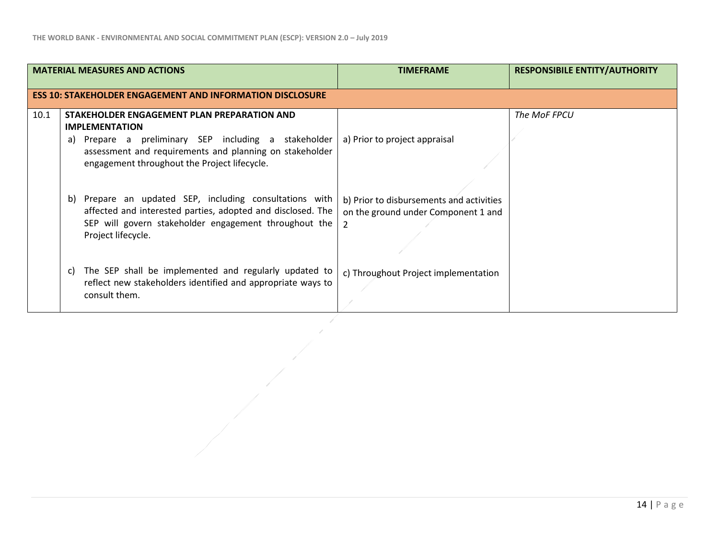|      | <b>MATERIAL MEASURES AND ACTIONS</b>                                                                                                                                                                                                       | <b>TIMEFRAME</b>                                                                                  | <b>RESPONSIBILE ENTITY/AUTHORITY</b> |
|------|--------------------------------------------------------------------------------------------------------------------------------------------------------------------------------------------------------------------------------------------|---------------------------------------------------------------------------------------------------|--------------------------------------|
|      | <b>ESS 10: STAKEHOLDER ENGAGEMENT AND INFORMATION DISCLOSURE</b>                                                                                                                                                                           |                                                                                                   |                                      |
| 10.1 | STAKEHOLDER ENGAGEMENT PLAN PREPARATION AND<br><b>IMPLEMENTATION</b><br>Prepare a preliminary SEP including a stakeholder<br>a)<br>assessment and requirements and planning on stakeholder<br>engagement throughout the Project lifecycle. | a) Prior to project appraisal                                                                     | The MoF FPCU                         |
|      | Prepare an updated SEP, including consultations with<br>b)<br>affected and interested parties, adopted and disclosed. The<br>SEP will govern stakeholder engagement throughout the<br>Project lifecycle.                                   | b) Prior to disbursements and activities<br>on the ground under Component 1 and<br>$\overline{2}$ |                                      |
|      | The SEP shall be implemented and regularly updated to<br>C)<br>reflect new stakeholders identified and appropriate ways to<br>consult them.                                                                                                | c) Throughout Project implementation                                                              |                                      |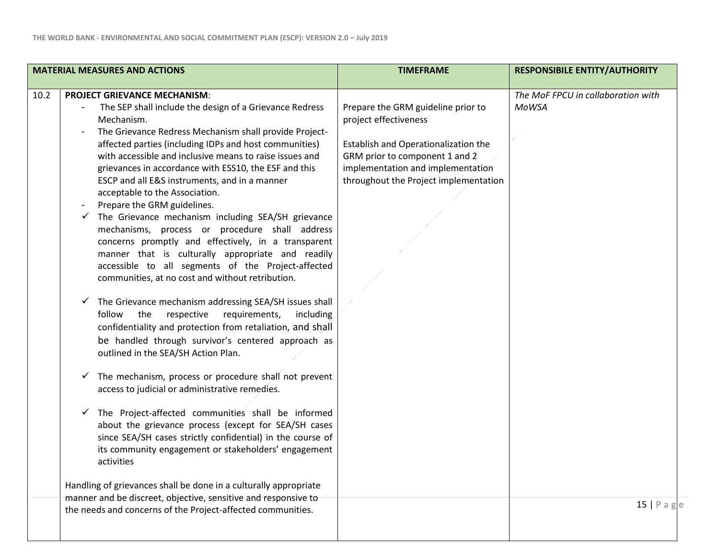| <b>MATERIAL MEASURES AND ACTIONS</b>                                                                                                                                                                                                                                                                                                                                                                                                                                                                                                                                                                                                                                                                                                                                                                                                                                                                                                                                                                                                                                                                                                                                                                                                                                                                                                                                                                                                                                                                                                              | <b>TIMEFRAME</b>                                                                                                                                                                                                    | <b>RESPONSIBILE ENTITY/AUTHORITY</b>               |
|---------------------------------------------------------------------------------------------------------------------------------------------------------------------------------------------------------------------------------------------------------------------------------------------------------------------------------------------------------------------------------------------------------------------------------------------------------------------------------------------------------------------------------------------------------------------------------------------------------------------------------------------------------------------------------------------------------------------------------------------------------------------------------------------------------------------------------------------------------------------------------------------------------------------------------------------------------------------------------------------------------------------------------------------------------------------------------------------------------------------------------------------------------------------------------------------------------------------------------------------------------------------------------------------------------------------------------------------------------------------------------------------------------------------------------------------------------------------------------------------------------------------------------------------------|---------------------------------------------------------------------------------------------------------------------------------------------------------------------------------------------------------------------|----------------------------------------------------|
| <b>PROJECT GRIEVANCE MECHANISM:</b><br>10.2<br>The SEP shall include the design of a Grievance Redress<br>Mechanism.<br>The Grievance Redress Mechanism shall provide Project-<br>affected parties (including IDPs and host communities)<br>with accessible and inclusive means to raise issues and<br>grievances in accordance with ESS10, the ESF and this<br>ESCP and all E&S instruments, and in a manner<br>acceptable to the Association.<br>Prepare the GRM guidelines.<br>The Grievance mechanism including SEA/SH grievance<br>mechanisms, process or procedure shall address<br>concerns promptly and effectively, in a transparent<br>manner that is culturally appropriate and readily<br>accessible to all segments of the Project-affected<br>communities, at no cost and without retribution.<br>The Grievance mechanism addressing SEA/SH issues shall<br>follow the<br>respective<br>requirements,<br>including<br>confidentiality and protection from retaliation, and shall<br>be handled through survivor's centered approach as<br>outlined in the SEA/SH Action Plan.<br>The mechanism, process or procedure shall not prevent<br>✓<br>access to judicial or administrative remedies.<br>The Project-affected communities shall be informed<br>$\checkmark$<br>about the grievance process (except for SEA/SH cases<br>since SEA/SH cases strictly confidential) in the course of<br>its community engagement or stakeholders' engagement<br>activities<br>Handling of grievances shall be done in a culturally appropriate | Prepare the GRM guideline prior to<br>project effectiveness<br>Establish and Operationalization the<br>GRM prior to component 1 and 2<br>implementation and implementation<br>throughout the Project implementation | The MoF FPCU in collaboration with<br><b>MoWSA</b> |
| manner and be discreet, objective, sensitive and responsive to<br>the needs and concerns of the Project-affected communities.                                                                                                                                                                                                                                                                                                                                                                                                                                                                                                                                                                                                                                                                                                                                                                                                                                                                                                                                                                                                                                                                                                                                                                                                                                                                                                                                                                                                                     |                                                                                                                                                                                                                     | $15$   Pag                                         |